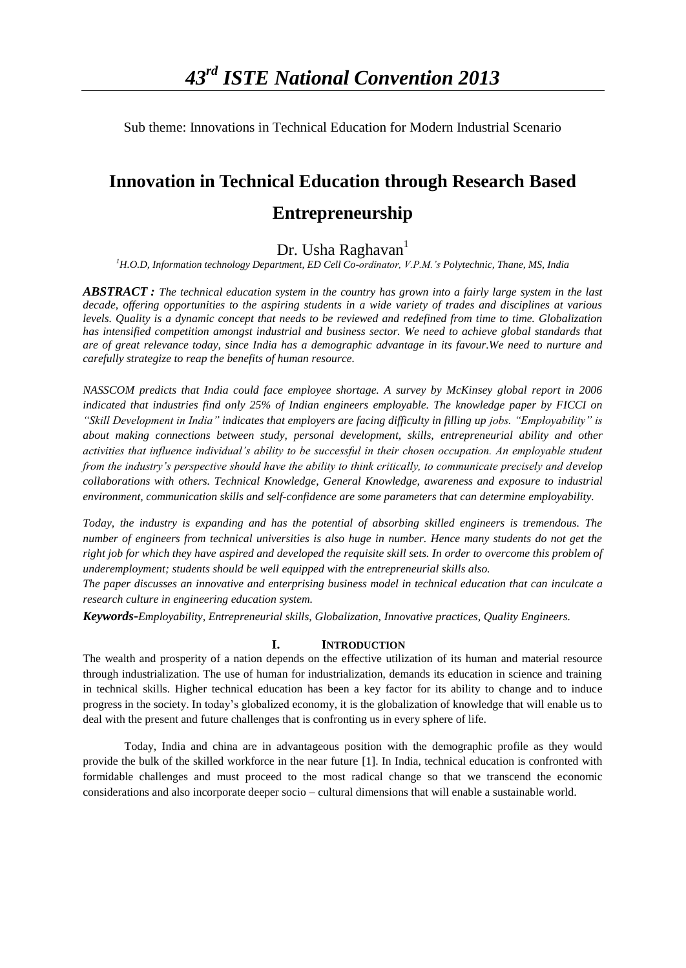Sub theme: Innovations in Technical Education for Modern Industrial Scenario

# **Innovation in Technical Education through Research Based Entrepreneurship**

## Dr. Usha Raghavan $<sup>1</sup>$ </sup>

*<sup>1</sup>H.O.D, Information technology Department, ED Cell Co-ordinator, V.P.M.'s Polytechnic, Thane, MS, India*

*ABSTRACT : The technical education system in the country has grown into a fairly large system in the last decade, offering opportunities to the aspiring students in a wide variety of trades and disciplines at various levels. Quality is a dynamic concept that needs to be reviewed and redefined from time to time. Globalization*  has intensified competition amongst industrial and business sector. We need to achieve global standards that *are of great relevance today, since India has a demographic advantage in its favour.We need to nurture and carefully strategize to reap the benefits of human resource.*

*NASSCOM predicts that India could face employee shortage. A survey by McKinsey global report in 2006 indicated that industries find only 25% of Indian engineers employable. The knowledge paper by FICCI on "Skill Development in India" indicates that employers are facing difficulty in filling up jobs. "Employability" is about making connections between study, personal development, skills, entrepreneurial ability and other activities that influence individual's ability to be successful in their chosen occupation. An employable student from the industry's perspective should have the ability to think critically, to communicate precisely and develop collaborations with others. Technical Knowledge, General Knowledge, awareness and exposure to industrial environment, communication skills and self-confidence are some parameters that can determine employability.*

*Today, the industry is expanding and has the potential of absorbing skilled engineers is tremendous. The number of engineers from technical universities is also huge in number. Hence many students do not get the right job for which they have aspired and developed the requisite skill sets. In order to overcome this problem of underemployment; students should be well equipped with the entrepreneurial skills also.*

*The paper discusses an innovative and enterprising business model in technical education that can inculcate a research culture in engineering education system.*

*Keywords*-*Employability, Entrepreneurial skills, Globalization, Innovative practices, Quality Engineers.*

### **I. INTRODUCTION**

The wealth and prosperity of a nation depends on the effective utilization of its human and material resource through industrialization. The use of human for industrialization, demands its education in science and training in technical skills. Higher technical education has been a key factor for its ability to change and to induce progress in the society. In today's globalized economy, it is the globalization of knowledge that will enable us to deal with the present and future challenges that is confronting us in every sphere of life.

Today, India and china are in advantageous position with the demographic profile as they would provide the bulk of the skilled workforce in the near future [1]. In India, technical education is confronted with formidable challenges and must proceed to the most radical change so that we transcend the economic considerations and also incorporate deeper socio – cultural dimensions that will enable a sustainable world.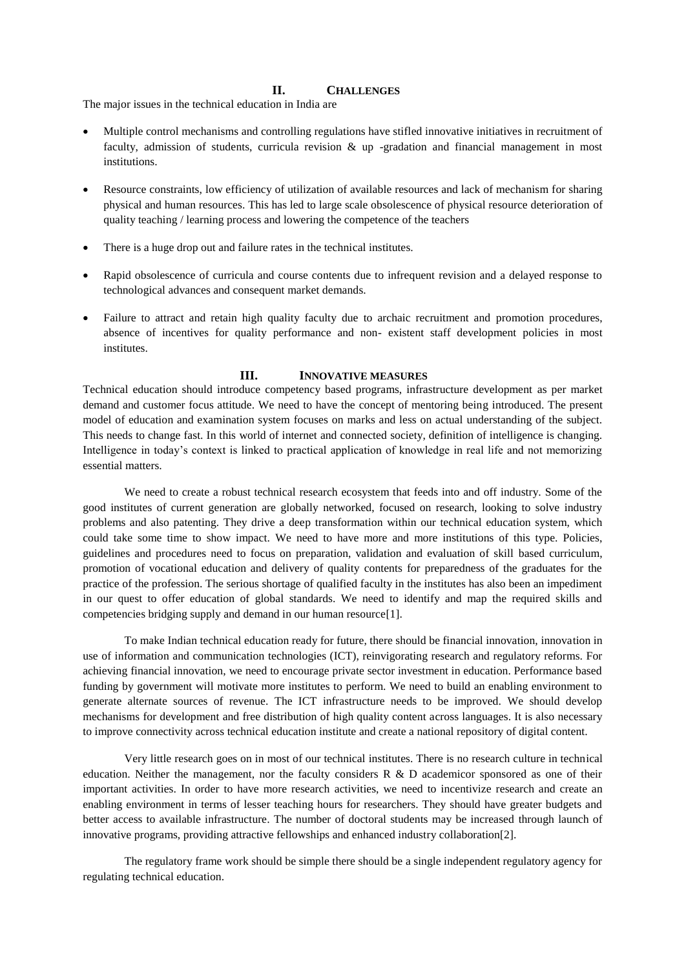#### **II. CHALLENGES**

The major issues in the technical education in India are

- Multiple control mechanisms and controlling regulations have stifled innovative initiatives in recruitment of faculty, admission of students, curricula revision & up -gradation and financial management in most institutions.
- Resource constraints, low efficiency of utilization of available resources and lack of mechanism for sharing physical and human resources. This has led to large scale obsolescence of physical resource deterioration of quality teaching / learning process and lowering the competence of the teachers
- There is a huge drop out and failure rates in the technical institutes.
- Rapid obsolescence of curricula and course contents due to infrequent revision and a delayed response to technological advances and consequent market demands.
- Failure to attract and retain high quality faculty due to archaic recruitment and promotion procedures, absence of incentives for quality performance and non- existent staff development policies in most institutes.

#### **III. INNOVATIVE MEASURES**

Technical education should introduce competency based programs, infrastructure development as per market demand and customer focus attitude. We need to have the concept of mentoring being introduced. The present model of education and examination system focuses on marks and less on actual understanding of the subject. This needs to change fast. In this world of internet and connected society, definition of intelligence is changing. Intelligence in today's context is linked to practical application of knowledge in real life and not memorizing essential matters.

We need to create a robust technical research ecosystem that feeds into and off industry. Some of the good institutes of current generation are globally networked, focused on research, looking to solve industry problems and also patenting. They drive a deep transformation within our technical education system, which could take some time to show impact. We need to have more and more institutions of this type. Policies, guidelines and procedures need to focus on preparation, validation and evaluation of skill based curriculum, promotion of vocational education and delivery of quality contents for preparedness of the graduates for the practice of the profession. The serious shortage of qualified faculty in the institutes has also been an impediment in our quest to offer education of global standards. We need to identify and map the required skills and competencies bridging supply and demand in our human resource[1].

To make Indian technical education ready for future, there should be financial innovation, innovation in use of information and communication technologies (ICT), reinvigorating research and regulatory reforms. For achieving financial innovation, we need to encourage private sector investment in education. Performance based funding by government will motivate more institutes to perform. We need to build an enabling environment to generate alternate sources of revenue. The ICT infrastructure needs to be improved. We should develop mechanisms for development and free distribution of high quality content across languages. It is also necessary to improve connectivity across technical education institute and create a national repository of digital content.

Very little research goes on in most of our technical institutes. There is no research culture in technical education. Neither the management, nor the faculty considers R & D academicor sponsored as one of their important activities. In order to have more research activities, we need to incentivize research and create an enabling environment in terms of lesser teaching hours for researchers. They should have greater budgets and better access to available infrastructure. The number of doctoral students may be increased through launch of innovative programs, providing attractive fellowships and enhanced industry collaboration[2].

The regulatory frame work should be simple there should be a single independent regulatory agency for regulating technical education.